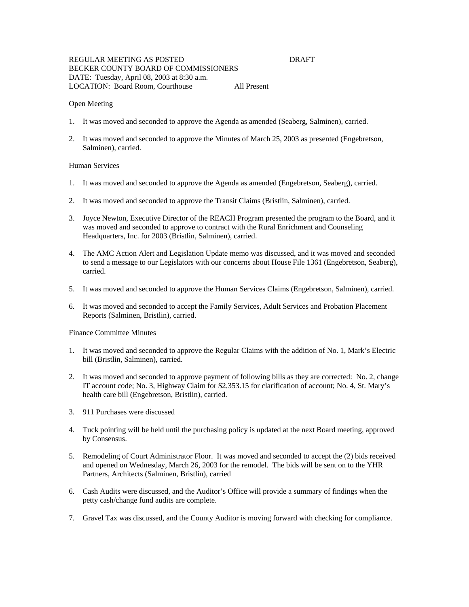## REGULAR MEETING AS POSTED DRAFT BECKER COUNTY BOARD OF COMMISSIONERS DATE: Tuesday, April 08, 2003 at 8:30 a.m. LOCATION: Board Room, Courthouse All Present

## Open Meeting

- 1. It was moved and seconded to approve the Agenda as amended (Seaberg, Salminen), carried.
- 2. It was moved and seconded to approve the Minutes of March 25, 2003 as presented (Engebretson, Salminen), carried.

## Human Services

- 1. It was moved and seconded to approve the Agenda as amended (Engebretson, Seaberg), carried.
- 2. It was moved and seconded to approve the Transit Claims (Bristlin, Salminen), carried.
- 3. Joyce Newton, Executive Director of the REACH Program presented the program to the Board, and it was moved and seconded to approve to contract with the Rural Enrichment and Counseling Headquarters, Inc. for 2003 (Bristlin, Salminen), carried.
- 4. The AMC Action Alert and Legislation Update memo was discussed, and it was moved and seconded to send a message to our Legislators with our concerns about House File 1361 (Engebretson, Seaberg), carried.
- 5. It was moved and seconded to approve the Human Services Claims (Engebretson, Salminen), carried.
- 6. It was moved and seconded to accept the Family Services, Adult Services and Probation Placement Reports (Salminen, Bristlin), carried.

## Finance Committee Minutes

- 1. It was moved and seconded to approve the Regular Claims with the addition of No. 1, Mark's Electric bill (Bristlin, Salminen), carried.
- 2. It was moved and seconded to approve payment of following bills as they are corrected: No. 2, change IT account code; No. 3, Highway Claim for \$2,353.15 for clarification of account; No. 4, St. Mary's health care bill (Engebretson, Bristlin), carried.
- 3. 911 Purchases were discussed
- 4. Tuck pointing will be held until the purchasing policy is updated at the next Board meeting, approved by Consensus.
- 5. Remodeling of Court Administrator Floor. It was moved and seconded to accept the (2) bids received and opened on Wednesday, March 26, 2003 for the remodel. The bids will be sent on to the YHR Partners, Architects (Salminen, Bristlin), carried
- 6. Cash Audits were discussed, and the Auditor's Office will provide a summary of findings when the petty cash/change fund audits are complete.
- 7. Gravel Tax was discussed, and the County Auditor is moving forward with checking for compliance.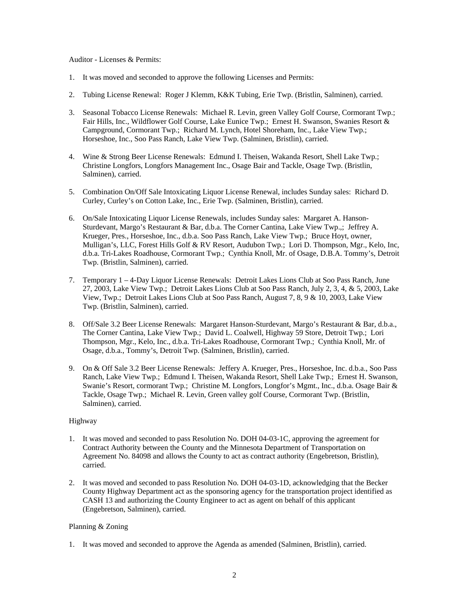## Auditor - Licenses & Permits:

- 1. It was moved and seconded to approve the following Licenses and Permits:
- 2. Tubing License Renewal: Roger J Klemm, K&K Tubing, Erie Twp. (Bristlin, Salminen), carried.
- 3. Seasonal Tobacco License Renewals: Michael R. Levin, green Valley Golf Course, Cormorant Twp.; Fair Hills, Inc., Wildflower Golf Course, Lake Eunice Twp.; Ernest H. Swanson, Swanies Resort & Campground, Cormorant Twp.; Richard M. Lynch, Hotel Shoreham, Inc., Lake View Twp.; Horseshoe, Inc., Soo Pass Ranch, Lake View Twp. (Salminen, Bristlin), carried.
- 4. Wine & Strong Beer License Renewals: Edmund I. Theisen, Wakanda Resort, Shell Lake Twp.; Christine Longfors, Longfors Management Inc., Osage Bair and Tackle, Osage Twp. (Bristlin, Salminen), carried.
- 5. Combination On/Off Sale Intoxicating Liquor License Renewal, includes Sunday sales: Richard D. Curley, Curley's on Cotton Lake, Inc., Erie Twp. (Salminen, Bristlin), carried.
- 6. On/Sale Intoxicating Liquor License Renewals, includes Sunday sales: Margaret A. Hanson-Sturdevant, Margo's Restaurant & Bar, d.b.a. The Corner Cantina, Lake View Twp.,; Jeffrey A. Krueger, Pres., Horseshoe, Inc., d.b.a. Soo Pass Ranch, Lake View Twp.; Bruce Hoyt, owner, Mulligan's, LLC, Forest Hills Golf & RV Resort, Audubon Twp.; Lori D. Thompson, Mgr., Kelo, Inc, d.b.a. Tri-Lakes Roadhouse, Cormorant Twp.; Cynthia Knoll, Mr. of Osage, D.B.A. Tommy's, Detroit Twp. (Bristlin, Salminen), carried.
- 7. Temporary 1 4-Day Liquor License Renewals: Detroit Lakes Lions Club at Soo Pass Ranch, June 27, 2003, Lake View Twp.; Detroit Lakes Lions Club at Soo Pass Ranch, July 2, 3, 4, & 5, 2003, Lake View, Twp.; Detroit Lakes Lions Club at Soo Pass Ranch, August 7, 8, 9 & 10, 2003, Lake View Twp. (Bristlin, Salminen), carried.
- 8. Off/Sale 3.2 Beer License Renewals: Margaret Hanson-Sturdevant, Margo's Restaurant & Bar, d.b.a., The Corner Cantina, Lake View Twp.; David L. Coalwell, Highway 59 Store, Detroit Twp.; Lori Thompson, Mgr., Kelo, Inc., d.b.a. Tri-Lakes Roadhouse, Cormorant Twp.; Cynthia Knoll, Mr. of Osage, d.b.a., Tommy's, Detroit Twp. (Salminen, Bristlin), carried.
- 9. On & Off Sale 3.2 Beer License Renewals: Jeffery A. Krueger, Pres., Horseshoe, Inc. d.b.a., Soo Pass Ranch, Lake View Twp.; Edmund I. Theisen, Wakanda Resort, Shell Lake Twp.; Ernest H. Swanson, Swanie's Resort, cormorant Twp.; Christine M. Longfors, Longfor's Mgmt., Inc., d.b.a. Osage Bair & Tackle, Osage Twp.; Michael R. Levin, Green valley golf Course, Cormorant Twp. (Bristlin, Salminen), carried.

# Highway

- 1. It was moved and seconded to pass Resolution No. DOH 04-03-1C, approving the agreement for Contract Authority between the County and the Minnesota Department of Transportation on Agreement No. 84098 and allows the County to act as contract authority (Engebretson, Bristlin), carried.
- 2. It was moved and seconded to pass Resolution No. DOH 04-03-1D, acknowledging that the Becker County Highway Department act as the sponsoring agency for the transportation project identified as CASH 13 and authorizing the County Engineer to act as agent on behalf of this applicant (Engebretson, Salminen), carried.

# Planning & Zoning

1. It was moved and seconded to approve the Agenda as amended (Salminen, Bristlin), carried.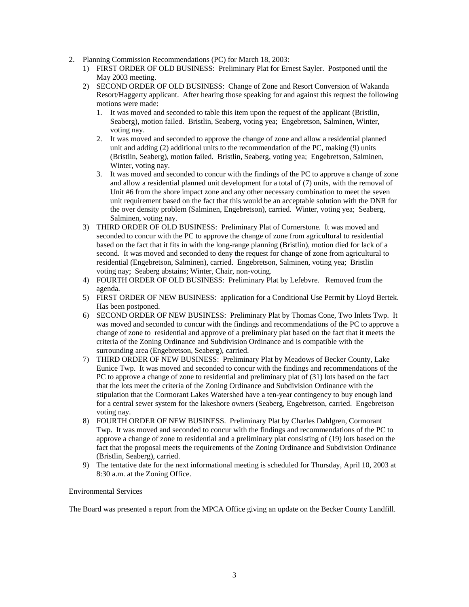- 2. Planning Commission Recommendations (PC) for March 18, 2003:
	- 1) FIRST ORDER OF OLD BUSINESS: Preliminary Plat for Ernest Sayler. Postponed until the May 2003 meeting.
	- 2) SECOND ORDER OF OLD BUSINESS: Change of Zone and Resort Conversion of Wakanda Resort/Haggerty applicant. After hearing those speaking for and against this request the following motions were made:
		- 1. It was moved and seconded to table this item upon the request of the applicant (Bristlin, Seaberg), motion failed. Bristlin, Seaberg, voting yea; Engebretson, Salminen, Winter, voting nay.
		- 2. It was moved and seconded to approve the change of zone and allow a residential planned unit and adding (2) additional units to the recommendation of the PC, making (9) units (Bristlin, Seaberg), motion failed. Bristlin, Seaberg, voting yea; Engebretson, Salminen, Winter, voting nay.
		- 3. It was moved and seconded to concur with the findings of the PC to approve a change of zone and allow a residential planned unit development for a total of (7) units, with the removal of Unit #6 from the shore impact zone and any other necessary combination to meet the seven unit requirement based on the fact that this would be an acceptable solution with the DNR for the over density problem (Salminen, Engebretson), carried. Winter, voting yea; Seaberg, Salminen, voting nay.
	- 3) THIRD ORDER OF OLD BUSINESS: Preliminary Plat of Cornerstone. It was moved and seconded to concur with the PC to approve the change of zone from agricultural to residential based on the fact that it fits in with the long-range planning (Bristlin), motion died for lack of a second. It was moved and seconded to deny the request for change of zone from agricultural to residential (Engebretson, Salminen), carried. Engebretson, Salminen, voting yea; Bristlin voting nay; Seaberg abstains; Winter, Chair, non-voting.
	- 4) FOURTH ORDER OF OLD BUSINESS: Preliminary Plat by Lefebvre. Removed from the agenda.
	- 5) FIRST ORDER OF NEW BUSINESS: application for a Conditional Use Permit by Lloyd Bertek. Has been postponed.
	- 6) SECOND ORDER OF NEW BUSINESS: Preliminary Plat by Thomas Cone, Two Inlets Twp. It was moved and seconded to concur with the findings and recommendations of the PC to approve a change of zone to residential and approve of a preliminary plat based on the fact that it meets the criteria of the Zoning Ordinance and Subdivision Ordinance and is compatible with the surrounding area (Engebretson, Seaberg), carried.
	- 7) THIRD ORDER OF NEW BUSINESS: Preliminary Plat by Meadows of Becker County, Lake Eunice Twp. It was moved and seconded to concur with the findings and recommendations of the PC to approve a change of zone to residential and preliminary plat of (31) lots based on the fact that the lots meet the criteria of the Zoning Ordinance and Subdivision Ordinance with the stipulation that the Cormorant Lakes Watershed have a ten-year contingency to buy enough land for a central sewer system for the lakeshore owners (Seaberg, Engebretson, carried. Engebretson voting nay.
	- 8) FOURTH ORDER OF NEW BUSINESS. Preliminary Plat by Charles Dahlgren, Cormorant Twp. It was moved and seconded to concur with the findings and recommendations of the PC to approve a change of zone to residential and a preliminary plat consisting of (19) lots based on the fact that the proposal meets the requirements of the Zoning Ordinance and Subdivision Ordinance (Bristlin, Seaberg), carried.
	- 9) The tentative date for the next informational meeting is scheduled for Thursday, April 10, 2003 at 8:30 a.m. at the Zoning Office.

# Environmental Services

The Board was presented a report from the MPCA Office giving an update on the Becker County Landfill.